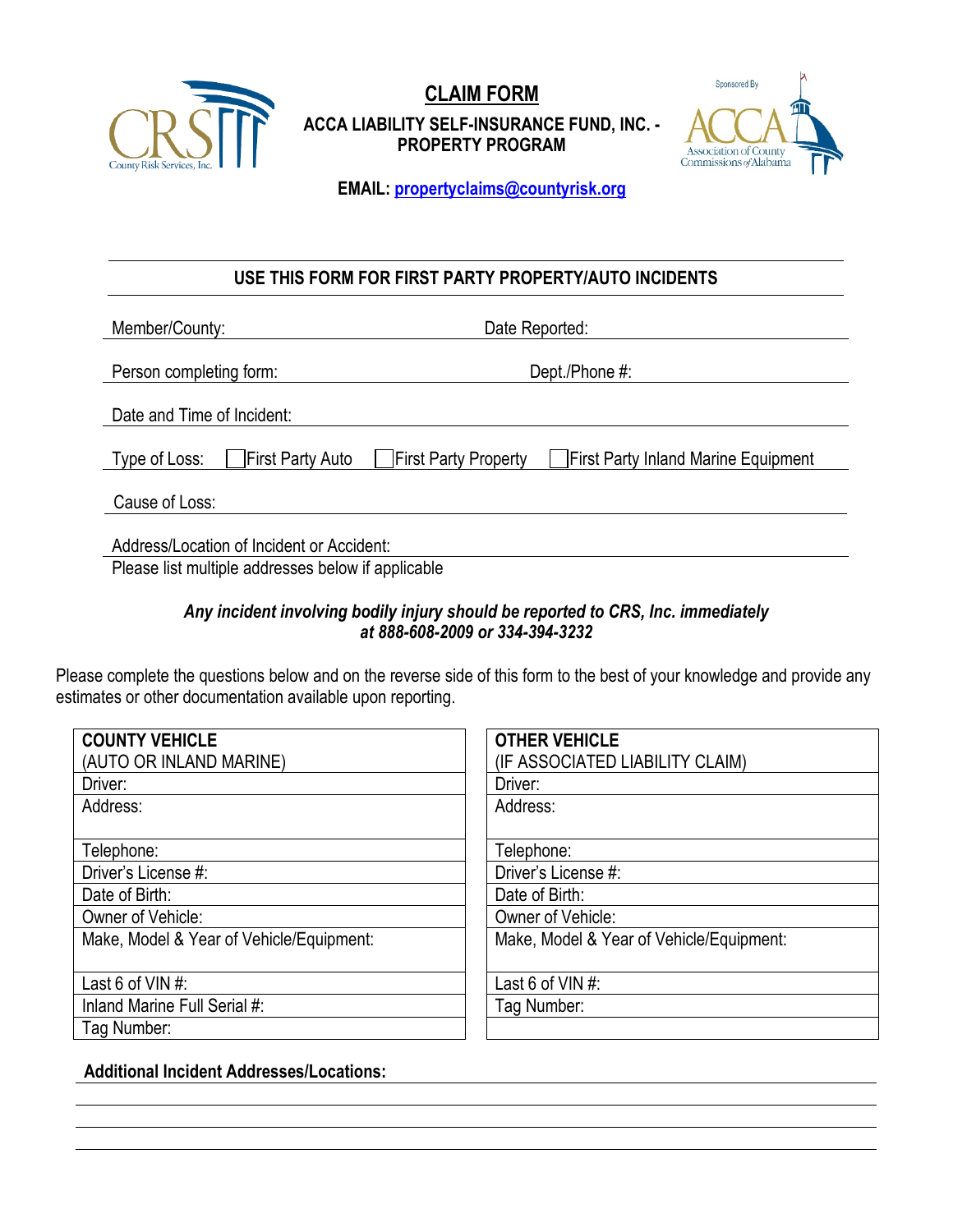

**CLAIM FORM ACCA LIABILITY SELF-INSURANCE FUND, INC. - PROPERTY PROGRAM**



**EMAIL: [propertyclaims@countyrisk.org](mailto:propertyclaims@countyrisk.org)**

# **USE THIS FORM FOR FIRST PARTY PROPERTY/AUTO INCIDENTS**

| Member/County:                            | Date Reported:                                                     |  |
|-------------------------------------------|--------------------------------------------------------------------|--|
| Person completing form:                   | Dept./Phone #:                                                     |  |
|                                           |                                                                    |  |
| Date and Time of Incident:                |                                                                    |  |
| <b>First Party Auto</b><br>Type of Loss:  | <b>First Party Property</b><br>First Party Inland Marine Equipment |  |
| Cause of Loss:                            |                                                                    |  |
| Address/Location of Incident or Accident: |                                                                    |  |

Please list multiple addresses below if applicable

## *Any incident involving bodily injury should be reported to CRS, Inc. immediately at 888-608-2009 or 334-394-3232*

Please complete the questions below and on the reverse side of this form to the best of your knowledge and provide any estimates or other documentation available upon reporting.

| <b>COUNTY VEHICLE</b>                    | <b>OTHER VEHICLE</b>                     |
|------------------------------------------|------------------------------------------|
| (AUTO OR INLAND MARINE)                  | (IF ASSOCIATED LIABILITY CLAIM)          |
| Driver:                                  | Driver:                                  |
| Address:                                 | Address:                                 |
|                                          |                                          |
| Telephone:                               | Telephone:                               |
| Driver's License #:                      | Driver's License #:                      |
| Date of Birth:                           | Date of Birth:                           |
| Owner of Vehicle:                        | Owner of Vehicle:                        |
| Make, Model & Year of Vehicle/Equipment: | Make, Model & Year of Vehicle/Equipment: |
|                                          |                                          |
| Last 6 of VIN $#$ :                      | Last 6 of VIN #:                         |
| Inland Marine Full Serial #:             | Tag Number:                              |
| Tag Number:                              |                                          |

**Additional Incident Addresses/Locations:**